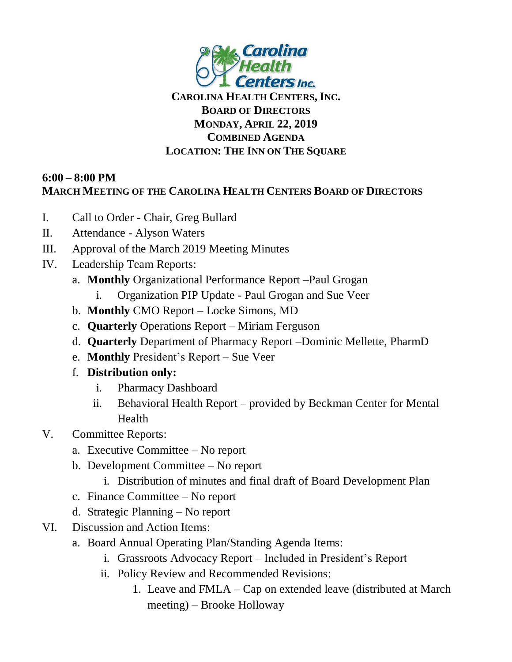

## **CAROLINA HEALTH CENTERS, INC. BOARD OF DIRECTORS MONDAY, APRIL 22, 2019 COMBINED AGENDA LOCATION: THE INN ON THE SQUARE**

## **6:00 – 8:00 PM MARCH MEETING OF THE CAROLINA HEALTH CENTERS BOARD OF DIRECTORS**

- I. Call to Order Chair, Greg Bullard
- II. Attendance Alyson Waters
- III. Approval of the March 2019 Meeting Minutes
- IV. Leadership Team Reports:
	- a. **Monthly** Organizational Performance Report –Paul Grogan
		- i. Organization PIP Update Paul Grogan and Sue Veer
	- b. **Monthly** CMO Report Locke Simons, MD
	- c. **Quarterly** Operations Report Miriam Ferguson
	- d. **Quarterly** Department of Pharmacy Report –Dominic Mellette, PharmD
	- e. **Monthly** President's Report Sue Veer
	- f. **Distribution only:**
		- i. Pharmacy Dashboard
		- ii. Behavioral Health Report provided by Beckman Center for Mental Health
- V. Committee Reports:
	- a. Executive Committee No report
	- b. Development Committee No report
		- i. Distribution of minutes and final draft of Board Development Plan
	- c. Finance Committee No report
	- d. Strategic Planning No report
- VI. Discussion and Action Items:
	- a. Board Annual Operating Plan/Standing Agenda Items:
		- i. Grassroots Advocacy Report Included in President's Report
		- ii. Policy Review and Recommended Revisions:
			- 1. Leave and FMLA Cap on extended leave (distributed at March meeting) – Brooke Holloway